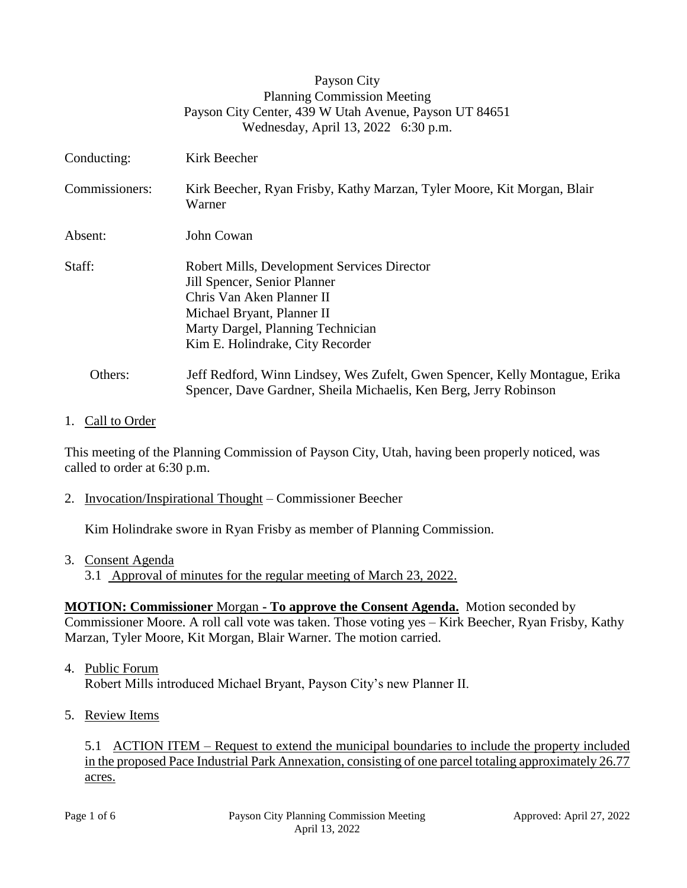|                | Payson City<br><b>Planning Commission Meeting</b><br>Payson City Center, 439 W Utah Avenue, Payson UT 84651<br>Wednesday, April 13, 2022 6:30 p.m.                                                              |
|----------------|-----------------------------------------------------------------------------------------------------------------------------------------------------------------------------------------------------------------|
| Conducting:    | Kirk Beecher                                                                                                                                                                                                    |
| Commissioners: | Kirk Beecher, Ryan Frisby, Kathy Marzan, Tyler Moore, Kit Morgan, Blair<br>Warner                                                                                                                               |
| Absent:        | John Cowan                                                                                                                                                                                                      |
| Staff:         | Robert Mills, Development Services Director<br>Jill Spencer, Senior Planner<br>Chris Van Aken Planner II<br>Michael Bryant, Planner II<br>Marty Dargel, Planning Technician<br>Kim E. Holindrake, City Recorder |
| Others:        | Jeff Redford, Winn Lindsey, Wes Zufelt, Gwen Spencer, Kelly Montague, Erika<br>Spencer, Dave Gardner, Sheila Michaelis, Ken Berg, Jerry Robinson                                                                |

#### 1. Call to Order

This meeting of the Planning Commission of Payson City, Utah, having been properly noticed, was called to order at 6:30 p.m.

2. Invocation/Inspirational Thought – Commissioner Beecher

Kim Holindrake swore in Ryan Frisby as member of Planning Commission.

3. Consent Agenda

3.1 Approval of minutes for the regular meeting of March 23, 2022.

## **MOTION: Commissioner** Morgan **- To approve the Consent Agenda.** Motion seconded by Commissioner Moore. A roll call vote was taken. Those voting yes – Kirk Beecher, Ryan Frisby, Kathy Marzan, Tyler Moore, Kit Morgan, Blair Warner. The motion carried.

4. Public Forum

Robert Mills introduced Michael Bryant, Payson City's new Planner II.

5. Review Items

5.1 ACTION ITEM – Request to extend the municipal boundaries to include the property included in the proposed Pace Industrial Park Annexation, consisting of one parcel totaling approximately 26.77 acres.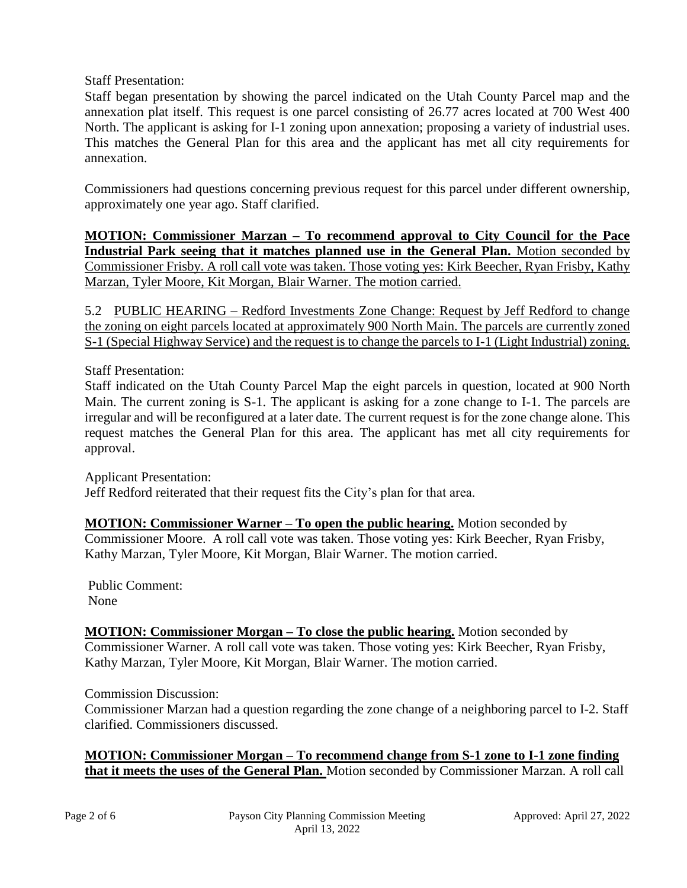Staff Presentation:

Staff began presentation by showing the parcel indicated on the Utah County Parcel map and the annexation plat itself. This request is one parcel consisting of 26.77 acres located at 700 West 400 North. The applicant is asking for I-1 zoning upon annexation; proposing a variety of industrial uses. This matches the General Plan for this area and the applicant has met all city requirements for annexation.

Commissioners had questions concerning previous request for this parcel under different ownership, approximately one year ago. Staff clarified.

**MOTION: Commissioner Marzan – To recommend approval to City Council for the Pace Industrial Park seeing that it matches planned use in the General Plan.** Motion seconded by Commissioner Frisby. A roll call vote was taken. Those voting yes: Kirk Beecher, Ryan Frisby, Kathy Marzan, Tyler Moore, Kit Morgan, Blair Warner. The motion carried.

5.2 PUBLIC HEARING – Redford Investments Zone Change: Request by Jeff Redford to change the zoning on eight parcels located at approximately 900 North Main. The parcels are currently zoned S-1 (Special Highway Service) and the request is to change the parcels to I-1 (Light Industrial) zoning.

Staff Presentation:

Staff indicated on the Utah County Parcel Map the eight parcels in question, located at 900 North Main. The current zoning is S-1. The applicant is asking for a zone change to I-1. The parcels are irregular and will be reconfigured at a later date. The current request is for the zone change alone. This request matches the General Plan for this area. The applicant has met all city requirements for approval.

Applicant Presentation: Jeff Redford reiterated that their request fits the City's plan for that area.

**MOTION: Commissioner Warner – To open the public hearing.** Motion seconded by Commissioner Moore. A roll call vote was taken. Those voting yes: Kirk Beecher, Ryan Frisby, Kathy Marzan, Tyler Moore, Kit Morgan, Blair Warner. The motion carried.

 Public Comment: None

**MOTION: Commissioner Morgan – To close the public hearing.** Motion seconded by Commissioner Warner. A roll call vote was taken. Those voting yes: Kirk Beecher, Ryan Frisby, Kathy Marzan, Tyler Moore, Kit Morgan, Blair Warner. The motion carried.

Commission Discussion:

Commissioner Marzan had a question regarding the zone change of a neighboring parcel to I-2. Staff clarified. Commissioners discussed.

**MOTION: Commissioner Morgan – To recommend change from S-1 zone to I-1 zone finding that it meets the uses of the General Plan.** Motion seconded by Commissioner Marzan. A roll call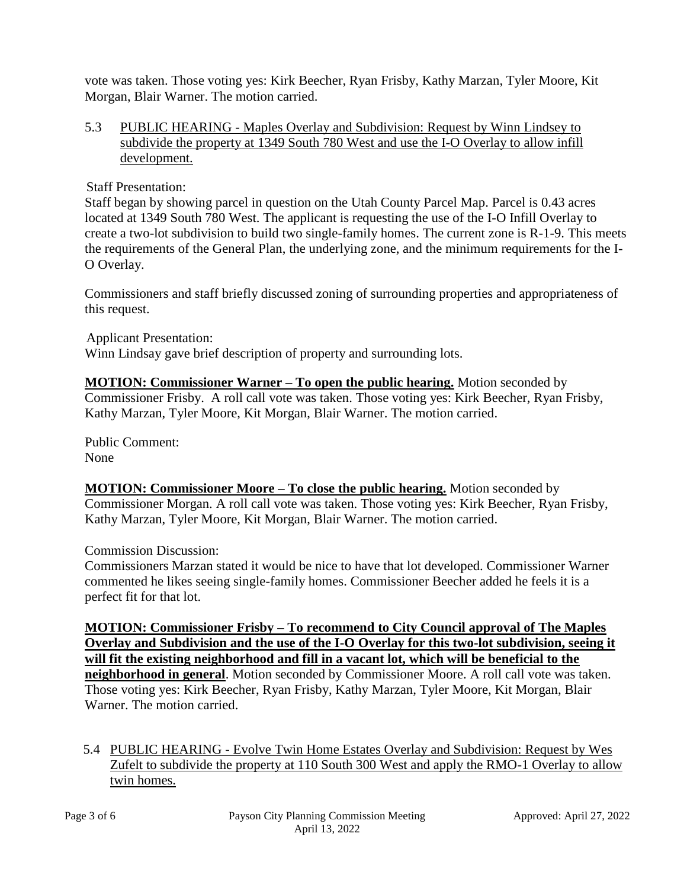vote was taken. Those voting yes: Kirk Beecher, Ryan Frisby, Kathy Marzan, Tyler Moore, Kit Morgan, Blair Warner. The motion carried.

#### 5.3 PUBLIC HEARING - Maples Overlay and Subdivision: Request by Winn Lindsey to subdivide the property at 1349 South 780 West and use the I-O Overlay to allow infill development.

Staff Presentation:

Staff began by showing parcel in question on the Utah County Parcel Map. Parcel is 0.43 acres located at 1349 South 780 West. The applicant is requesting the use of the I-O Infill Overlay to create a two-lot subdivision to build two single-family homes. The current zone is R-1-9. This meets the requirements of the General Plan, the underlying zone, and the minimum requirements for the I-O Overlay.

Commissioners and staff briefly discussed zoning of surrounding properties and appropriateness of this request.

Applicant Presentation:

Winn Lindsay gave brief description of property and surrounding lots.

**MOTION: Commissioner Warner – To open the public hearing.** Motion seconded by Commissioner Frisby. A roll call vote was taken. Those voting yes: Kirk Beecher, Ryan Frisby, Kathy Marzan, Tyler Moore, Kit Morgan, Blair Warner. The motion carried.

 Public Comment: None

**MOTION: Commissioner Moore – To close the public hearing.** Motion seconded by Commissioner Morgan. A roll call vote was taken. Those voting yes: Kirk Beecher, Ryan Frisby, Kathy Marzan, Tyler Moore, Kit Morgan, Blair Warner. The motion carried.

Commission Discussion:

Commissioners Marzan stated it would be nice to have that lot developed. Commissioner Warner commented he likes seeing single-family homes. Commissioner Beecher added he feels it is a perfect fit for that lot.

**MOTION: Commissioner Frisby – To recommend to City Council approval of The Maples Overlay and Subdivision and the use of the I-O Overlay for this two-lot subdivision, seeing it will fit the existing neighborhood and fill in a vacant lot, which will be beneficial to the neighborhood in general**. Motion seconded by Commissioner Moore. A roll call vote was taken. Those voting yes: Kirk Beecher, Ryan Frisby, Kathy Marzan, Tyler Moore, Kit Morgan, Blair Warner. The motion carried.

5.4 PUBLIC HEARING - Evolve Twin Home Estates Overlay and Subdivision: Request by Wes Zufelt to subdivide the property at 110 South 300 West and apply the RMO-1 Overlay to allow twin homes.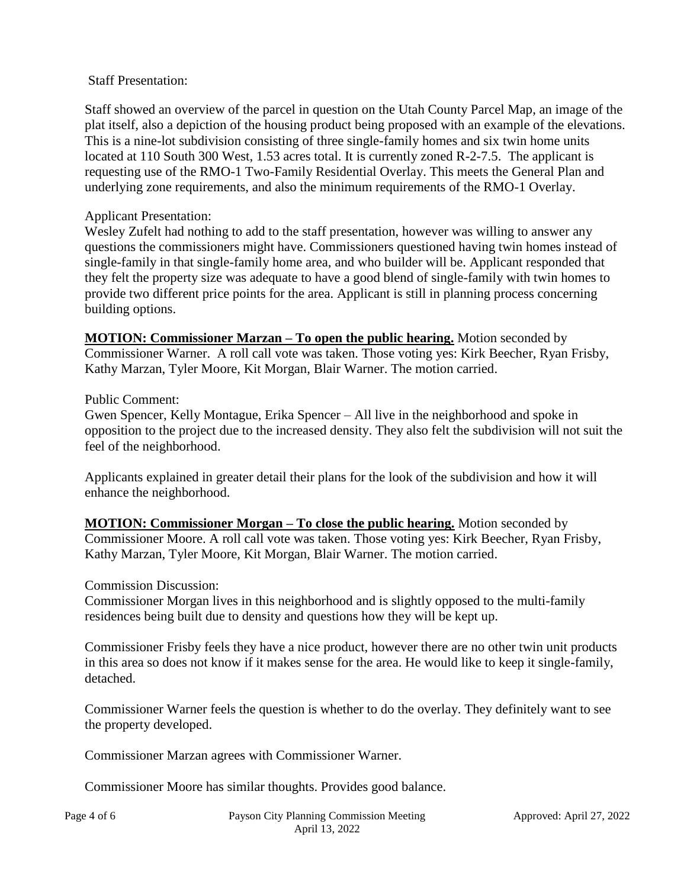Staff Presentation:

Staff showed an overview of the parcel in question on the Utah County Parcel Map, an image of the plat itself, also a depiction of the housing product being proposed with an example of the elevations. This is a nine-lot subdivision consisting of three single-family homes and six twin home units located at 110 South 300 West, 1.53 acres total. It is currently zoned R-2-7.5. The applicant is requesting use of the RMO-1 Two-Family Residential Overlay. This meets the General Plan and underlying zone requirements, and also the minimum requirements of the RMO-1 Overlay.

# Applicant Presentation:

Wesley Zufelt had nothing to add to the staff presentation, however was willing to answer any questions the commissioners might have. Commissioners questioned having twin homes instead of single-family in that single-family home area, and who builder will be. Applicant responded that they felt the property size was adequate to have a good blend of single-family with twin homes to provide two different price points for the area. Applicant is still in planning process concerning building options.

**MOTION: Commissioner Marzan – To open the public hearing.** Motion seconded by Commissioner Warner. A roll call vote was taken. Those voting yes: Kirk Beecher, Ryan Frisby, Kathy Marzan, Tyler Moore, Kit Morgan, Blair Warner. The motion carried.

## Public Comment:

Gwen Spencer, Kelly Montague, Erika Spencer – All live in the neighborhood and spoke in opposition to the project due to the increased density. They also felt the subdivision will not suit the feel of the neighborhood.

Applicants explained in greater detail their plans for the look of the subdivision and how it will enhance the neighborhood.

**MOTION: Commissioner Morgan – To close the public hearing.** Motion seconded by Commissioner Moore. A roll call vote was taken. Those voting yes: Kirk Beecher, Ryan Frisby, Kathy Marzan, Tyler Moore, Kit Morgan, Blair Warner. The motion carried.

## Commission Discussion:

Commissioner Morgan lives in this neighborhood and is slightly opposed to the multi-family residences being built due to density and questions how they will be kept up.

Commissioner Frisby feels they have a nice product, however there are no other twin unit products in this area so does not know if it makes sense for the area. He would like to keep it single-family, detached.

Commissioner Warner feels the question is whether to do the overlay. They definitely want to see the property developed.

Commissioner Marzan agrees with Commissioner Warner.

Commissioner Moore has similar thoughts. Provides good balance.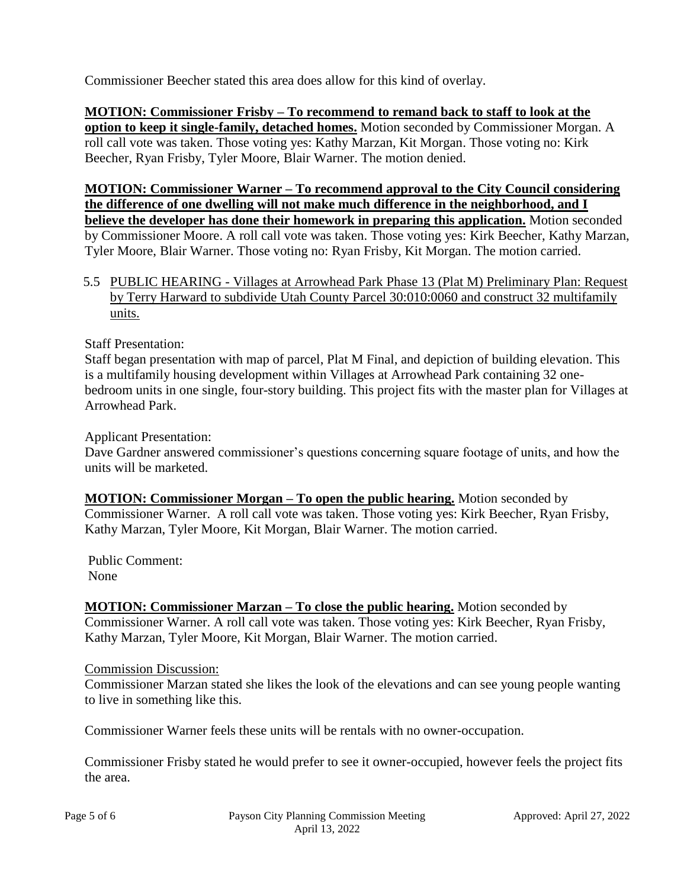Commissioner Beecher stated this area does allow for this kind of overlay.

**MOTION: Commissioner Frisby – To recommend to remand back to staff to look at the option to keep it single-family, detached homes.** Motion seconded by Commissioner Morgan. A roll call vote was taken. Those voting yes: Kathy Marzan, Kit Morgan. Those voting no: Kirk Beecher, Ryan Frisby, Tyler Moore, Blair Warner. The motion denied.

**MOTION: Commissioner Warner – To recommend approval to the City Council considering the difference of one dwelling will not make much difference in the neighborhood, and I believe the developer has done their homework in preparing this application.** Motion seconded by Commissioner Moore. A roll call vote was taken. Those voting yes: Kirk Beecher, Kathy Marzan, Tyler Moore, Blair Warner. Those voting no: Ryan Frisby, Kit Morgan. The motion carried.

5.5 PUBLIC HEARING - Villages at Arrowhead Park Phase 13 (Plat M) Preliminary Plan: Request by Terry Harward to subdivide Utah County Parcel 30:010:0060 and construct 32 multifamily units.

Staff Presentation:

Staff began presentation with map of parcel, Plat M Final, and depiction of building elevation. This is a multifamily housing development within Villages at Arrowhead Park containing 32 onebedroom units in one single, four-story building. This project fits with the master plan for Villages at Arrowhead Park.

Applicant Presentation:

Dave Gardner answered commissioner's questions concerning square footage of units, and how the units will be marketed.

**MOTION: Commissioner Morgan – To open the public hearing.** Motion seconded by Commissioner Warner. A roll call vote was taken. Those voting yes: Kirk Beecher, Ryan Frisby, Kathy Marzan, Tyler Moore, Kit Morgan, Blair Warner. The motion carried.

 Public Comment: None

**MOTION: Commissioner Marzan – To close the public hearing.** Motion seconded by Commissioner Warner. A roll call vote was taken. Those voting yes: Kirk Beecher, Ryan Frisby, Kathy Marzan, Tyler Moore, Kit Morgan, Blair Warner. The motion carried.

## Commission Discussion:

Commissioner Marzan stated she likes the look of the elevations and can see young people wanting to live in something like this.

Commissioner Warner feels these units will be rentals with no owner-occupation.

Commissioner Frisby stated he would prefer to see it owner-occupied, however feels the project fits the area.